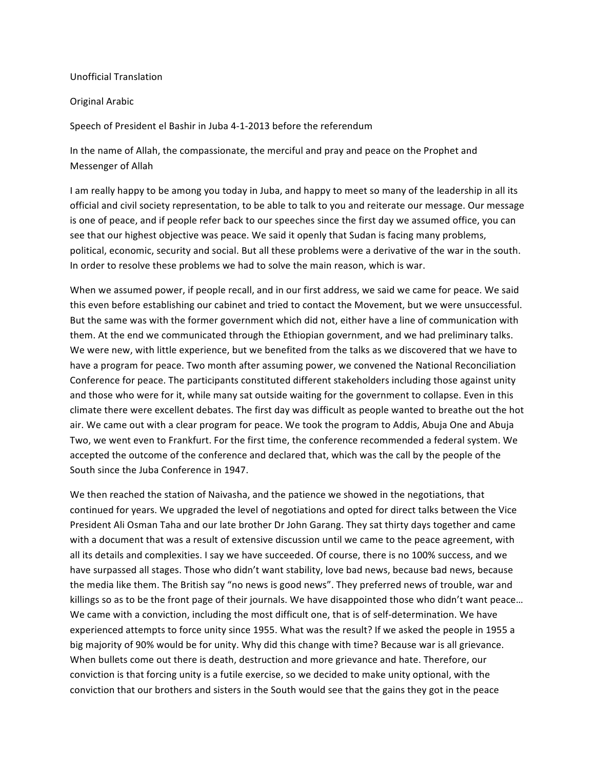## Unofficial Translation

## Original Arabic

Speech of President el Bashir in Juba 4-1-2013 before the referendum

In the name of Allah, the compassionate, the merciful and pray and peace on the Prophet and Messenger of Allah

I am really happy to be among you today in Juba, and happy to meet so many of the leadership in all its official and civil society representation, to be able to talk to you and reiterate our message. Our message is one of peace, and if people refer back to our speeches since the first day we assumed office, you can see that our highest objective was peace. We said it openly that Sudan is facing many problems, political, economic, security and social. But all these problems were a derivative of the war in the south. In order to resolve these problems we had to solve the main reason, which is war.

When we assumed power, if people recall, and in our first address, we said we came for peace. We said this even before establishing our cabinet and tried to contact the Movement, but we were unsuccessful. But the same was with the former government which did not, either have a line of communication with them. At the end we communicated through the Ethiopian government, and we had preliminary talks. We were new, with little experience, but we benefited from the talks as we discovered that we have to have a program for peace. Two month after assuming power, we convened the National Reconciliation Conference for peace. The participants constituted different stakeholders including those against unity and those who were for it, while many sat outside waiting for the government to collapse. Even in this climate there were excellent debates. The first day was difficult as people wanted to breathe out the hot air. We came out with a clear program for peace. We took the program to Addis, Abuja One and Abuja Two, we went even to Frankfurt. For the first time, the conference recommended a federal system. We accepted the outcome of the conference and declared that, which was the call by the people of the South since the Juba Conference in 1947.

We then reached the station of Naivasha, and the patience we showed in the negotiations, that continued for years. We upgraded the level of negotiations and opted for direct talks between the Vice President Ali Osman Taha and our late brother Dr John Garang. They sat thirty days together and came with a document that was a result of extensive discussion until we came to the peace agreement, with all its details and complexities. I say we have succeeded. Of course, there is no 100% success, and we have surpassed all stages. Those who didn't want stability, love bad news, because bad news, because the media like them. The British say "no news is good news". They preferred news of trouble, war and killings so as to be the front page of their journals. We have disappointed those who didn't want peace... We came with a conviction, including the most difficult one, that is of self-determination. We have experienced attempts to force unity since 1955. What was the result? If we asked the people in 1955 a big majority of 90% would be for unity. Why did this change with time? Because war is all grievance. When bullets come out there is death, destruction and more grievance and hate. Therefore, our conviction is that forcing unity is a futile exercise, so we decided to make unity optional, with the conviction that our brothers and sisters in the South would see that the gains they got in the peace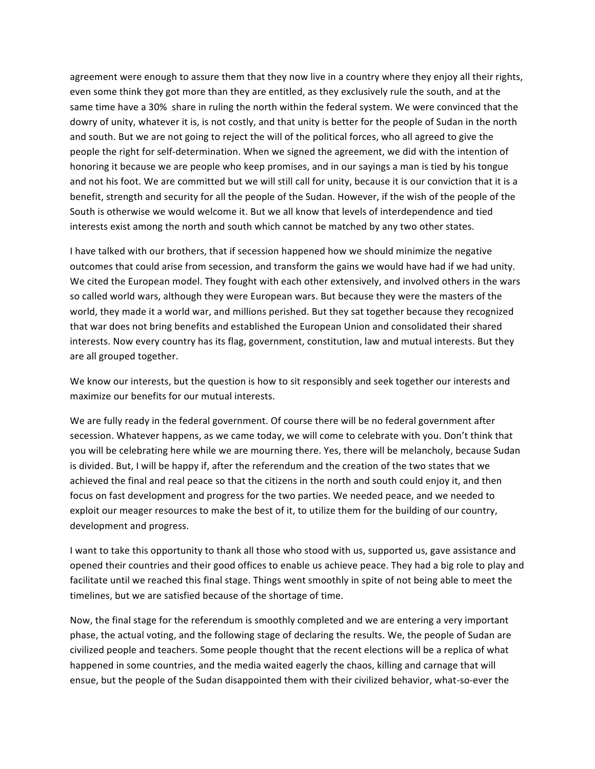agreement were enough to assure them that they now live in a country where they enjoy all their rights, even some think they got more than they are entitled, as they exclusively rule the south, and at the same time have a 30% share in ruling the north within the federal system. We were convinced that the dowry of unity, whatever it is, is not costly, and that unity is better for the people of Sudan in the north and south. But we are not going to reject the will of the political forces, who all agreed to give the people the right for self-determination. When we signed the agreement, we did with the intention of honoring it because we are people who keep promises, and in our sayings a man is tied by his tongue and not his foot. We are committed but we will still call for unity, because it is our conviction that it is a benefit, strength and security for all the people of the Sudan. However, if the wish of the people of the South is otherwise we would welcome it. But we all know that levels of interdependence and tied interests exist among the north and south which cannot be matched by any two other states.

I have talked with our brothers, that if secession happened how we should minimize the negative outcomes that could arise from secession, and transform the gains we would have had if we had unity. We cited the European model. They fought with each other extensively, and involved others in the wars so called world wars, although they were European wars. But because they were the masters of the world, they made it a world war, and millions perished. But they sat together because they recognized that war does not bring benefits and established the European Union and consolidated their shared interests. Now every country has its flag, government, constitution, law and mutual interests. But they are all grouped together.

We know our interests, but the question is how to sit responsibly and seek together our interests and maximize our benefits for our mutual interests.

We are fully ready in the federal government. Of course there will be no federal government after secession. Whatever happens, as we came today, we will come to celebrate with you. Don't think that you will be celebrating here while we are mourning there. Yes, there will be melancholy, because Sudan is divided. But, I will be happy if, after the referendum and the creation of the two states that we achieved the final and real peace so that the citizens in the north and south could enjoy it, and then focus on fast development and progress for the two parties. We needed peace, and we needed to exploit our meager resources to make the best of it, to utilize them for the building of our country, development and progress.

I want to take this opportunity to thank all those who stood with us, supported us, gave assistance and opened their countries and their good offices to enable us achieve peace. They had a big role to play and facilitate until we reached this final stage. Things went smoothly in spite of not being able to meet the timelines, but we are satisfied because of the shortage of time.

Now, the final stage for the referendum is smoothly completed and we are entering a very important phase, the actual voting, and the following stage of declaring the results. We, the people of Sudan are civilized people and teachers. Some people thought that the recent elections will be a replica of what happened in some countries, and the media waited eagerly the chaos, killing and carnage that will ensue, but the people of the Sudan disappointed them with their civilized behavior, what-so-ever the